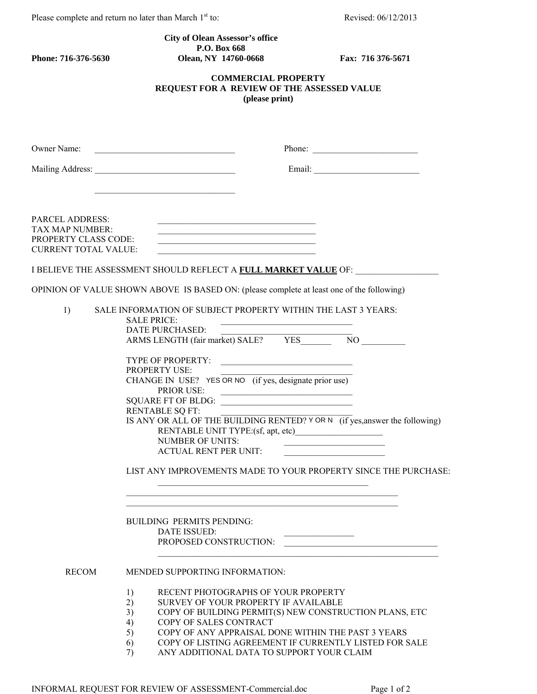Please complete and return no later than March 1<sup>st</sup> to: Revised: 06/12/2013

## **City of Olean Assessor's office P.O. Box 668**<br> **Phone: 716-376-5630**<br> **Clean, NY 14760-4**

**Phone: 716-376-5630 Olean, NY 14760-0668 Fax: 716 376-5671** 

## **COMMERCIAL PROPERTY REQUEST FOR A REVIEW OF THE ASSESSED VALUE (please print)**

|                                                                                                  | Phone: $\frac{1}{\sqrt{1-\frac{1}{2}} \cdot \frac{1}{2} \cdot \frac{1}{2} \cdot \frac{1}{2} \cdot \frac{1}{2} \cdot \frac{1}{2} \cdot \frac{1}{2} \cdot \frac{1}{2} \cdot \frac{1}{2} \cdot \frac{1}{2} \cdot \frac{1}{2} \cdot \frac{1}{2} \cdot \frac{1}{2} \cdot \frac{1}{2} \cdot \frac{1}{2} \cdot \frac{1}{2} \cdot \frac{1}{2} \cdot \frac{1}{2} \cdot \frac{1}{2} \cdot \frac{1}{2} \cdot \frac{1}{2} \cdot \frac{1}{2} \cdot \frac{1}{2$                                                                                                                                                                                                                                                                                                                                                                                                                        |
|--------------------------------------------------------------------------------------------------|--------------------------------------------------------------------------------------------------------------------------------------------------------------------------------------------------------------------------------------------------------------------------------------------------------------------------------------------------------------------------------------------------------------------------------------------------------------------------------------------------------------------------------------------------------------------------------------------------------------------------------------------------------------------------------------------------------------------------------------------------------------------------------------------------------------------------------------------------------------------------|
|                                                                                                  |                                                                                                                                                                                                                                                                                                                                                                                                                                                                                                                                                                                                                                                                                                                                                                                                                                                                          |
| <b>PARCEL ADDRESS:</b><br>TAX MAP NUMBER:<br>PROPERTY CLASS CODE:<br><b>CURRENT TOTAL VALUE:</b> | the control of the control of the control of the control of the control of the control of the control of the control of the control of the control of the control of the control of the control of the control of the control<br>I BELIEVE THE ASSESSMENT SHOULD REFLECT A FULL MARKET VALUE OF: ________________                                                                                                                                                                                                                                                                                                                                                                                                                                                                                                                                                        |
|                                                                                                  | OPINION OF VALUE SHOWN ABOVE IS BASED ON: (please complete at least one of the following)                                                                                                                                                                                                                                                                                                                                                                                                                                                                                                                                                                                                                                                                                                                                                                                |
| 1)                                                                                               | SALE INFORMATION OF SUBJECT PROPERTY WITHIN THE LAST 3 YEARS:<br><b>SALE PRICE:</b><br><u> 1989 - Johann John Stoff, deutscher Stoffen und der Stoffen und der Stoffen und der Stoffen und der Stoffen und der Stoffen und der Stoffen und der Stoffen und der Stoffen und der Stoffen und der Stoffen und der Stoffen </u><br>DATE PURCHASED:<br>TYPE OF PROPERTY:<br><b>PROPERTY USE:</b><br>CHANGE IN USE? YES OR NO (if yes, designate prior use)<br><b>PRIOR USE:</b><br>PRIOR USE:<br>SQUARE FT OF BLDG:<br><b>RENTABLE SQ FT:</b><br>IS ANY OR ALL OF THE BUILDING RENTED? Y OR N (if yes, answer the following)<br>RENTABLE UNIT TYPE:(sf, apt, etc)<br><b>NUMBER OF UNITS:</b><br>the control of the control of the control of the control of the control of<br><b>ACTUAL RENT PER UNIT:</b><br>LIST ANY IMPROVEMENTS MADE TO YOUR PROPERTY SINCE THE PURCHASE: |
|                                                                                                  | <b>BUILDING PERMITS PENDING:</b><br>DATE ISSUED:<br>PROPOSED CONSTRUCTION:                                                                                                                                                                                                                                                                                                                                                                                                                                                                                                                                                                                                                                                                                                                                                                                               |
| <b>RECOM</b>                                                                                     | MENDED SUPPORTING INFORMATION:                                                                                                                                                                                                                                                                                                                                                                                                                                                                                                                                                                                                                                                                                                                                                                                                                                           |
|                                                                                                  | RECENT PHOTOGRAPHS OF YOUR PROPERTY<br>1)<br>2)<br>SURVEY OF YOUR PROPERTY IF AVAILABLE<br>3)<br>COPY OF BUILDING PERMIT(S) NEW CONSTRUCTION PLANS, ETC<br>COPY OF SALES CONTRACT<br>4)<br>5)<br>COPY OF ANY APPRAISAL DONE WITHIN THE PAST 3 YEARS<br>COPY OF LISTING AGREEMENT IF CURRENTLY LISTED FOR SALE<br>6)<br>ANY ADDITIONAL DATA TO SUPPORT YOUR CLAIM<br>7)                                                                                                                                                                                                                                                                                                                                                                                                                                                                                                   |